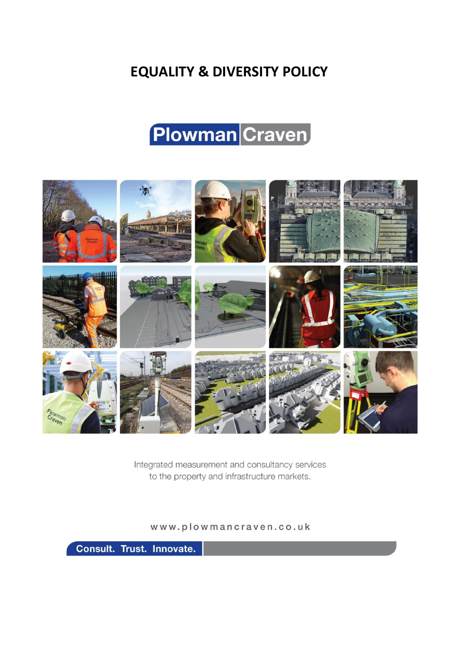# **EQUALITY & EQUALITY & DIVERSITY POLICY**

# **Plowman** Craven



Integrated measurement and consultancy services to the property and infrastructure markets.

www.plowmancraven.co.uk

Consult. Trust. Innovate.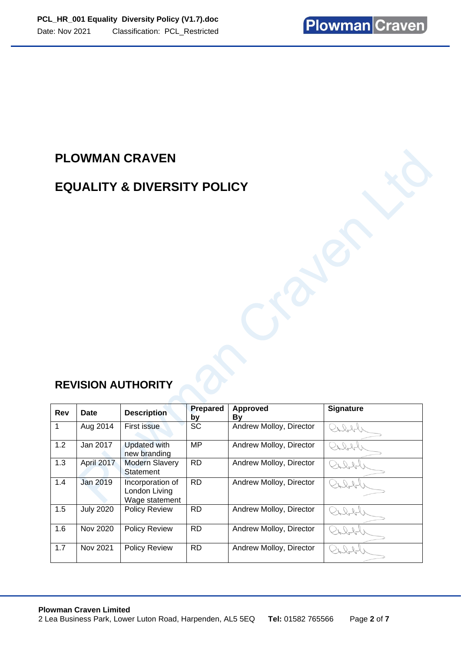# **PLOWMAN CRAVEN**

### **EQUALITY & DIVERSITY POLICY**

# **REVISION AUTHORITY**

| Rev | Date             | <b>Description</b>                                  | Prepared<br>by | <b>Approved</b><br>By   | <b>Signature</b> |
|-----|------------------|-----------------------------------------------------|----------------|-------------------------|------------------|
| 1   | Aug 2014         | First issue                                         | <b>SC</b>      | Andrew Molloy, Director | $\sqrt{221}$     |
| 1.2 | Jan 2017         | <b>Updated with</b><br>new branding                 | <b>MP</b>      | Andrew Molloy, Director | $22 -$           |
| 1.3 | April 2017       | <b>Modern Slavery</b><br>Statement                  | <b>RD</b>      | Andrew Molloy, Director |                  |
| 1.4 | Jan 2019         | Incorporation of<br>London Living<br>Wage statement | <b>RD</b>      | Andrew Molloy, Director |                  |
| 1.5 | <b>July 2020</b> | Policy Review                                       | <b>RD</b>      | Andrew Molloy, Director |                  |
| 1.6 | Nov 2020         | <b>Policy Review</b>                                | <b>RD</b>      | Andrew Molloy, Director | $\mathcal{L}$    |
| 1.7 | Nov 2021         | <b>Policy Review</b>                                | <b>RD</b>      | Andrew Molloy, Director |                  |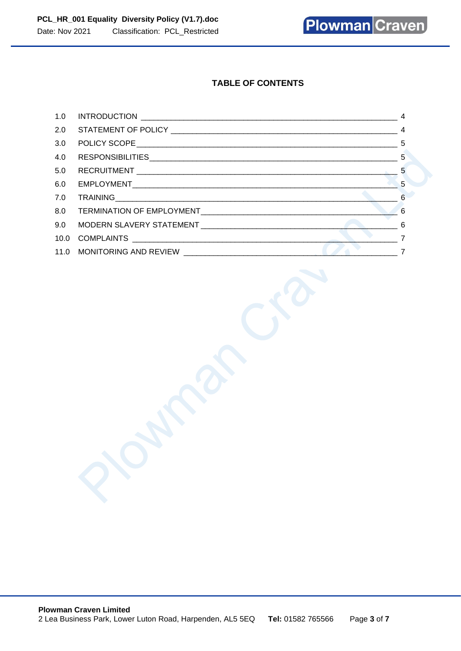**Plowman Craven** 

### **TABLE OF CONTENTS**

j

| 1.0 |    |
|-----|----|
|     |    |
| 3.0 |    |
| 4.0 |    |
| 5.0 |    |
| 6.0 | -5 |
| 7.0 |    |
|     |    |
|     |    |
|     |    |
|     |    |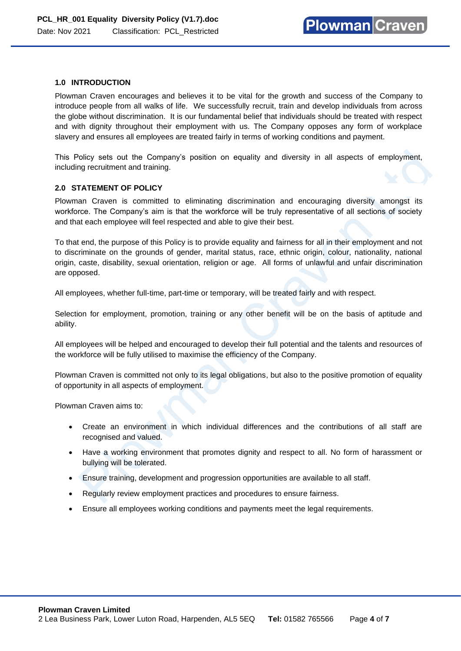#### <span id="page-3-0"></span>**1.0 INTRODUCTION**

Plowman Craven encourages and believes it to be vital for the growth and success of the Company to introduce people from all walks of life. We successfully recruit, train and develop individuals from across the globe without discrimination. It is our fundamental belief that individuals should be treated with respect and with dignity throughout their employment with us. The Company opposes any form of workplace slavery and ensures all employees are treated fairly in terms of working conditions and payment.

This Policy sets out the Company's position on equality and diversity in all aspects of employment, including recruitment and training.

#### <span id="page-3-1"></span>**2.0 STATEMENT OF POLICY**

Plowman Craven is committed to eliminating discrimination and encouraging diversity amongst its workforce. The Company's aim is that the workforce will be truly representative of all sections of society and that each employee will feel respected and able to give their best.

To that end, the purpose of this Policy is to provide equality and fairness for all in their employment and not to discriminate on the grounds of gender, marital status, race, ethnic origin, colour, nationality, national origin, caste, disability, sexual orientation, religion or age. All forms of unlawful and unfair discrimination are opposed.

All employees, whether full-time, part-time or temporary, will be treated fairly and with respect.

Selection for employment, promotion, training or any other benefit will be on the basis of aptitude and ability.

All employees will be helped and encouraged to develop their full potential and the talents and resources of the workforce will be fully utilised to maximise the efficiency of the Company.

Plowman Craven is committed not only to its legal obligations, but also to the positive promotion of equality of opportunity in all aspects of employment.

Plowman Craven aims to:

- Create an environment in which individual differences and the contributions of all staff are recognised and valued.
- Have a working environment that promotes dignity and respect to all. No form of harassment or bullying will be tolerated.
- Ensure training, development and progression opportunities are available to all staff.
- Regularly review employment practices and procedures to ensure fairness.
- Ensure all employees working conditions and payments meet the legal requirements.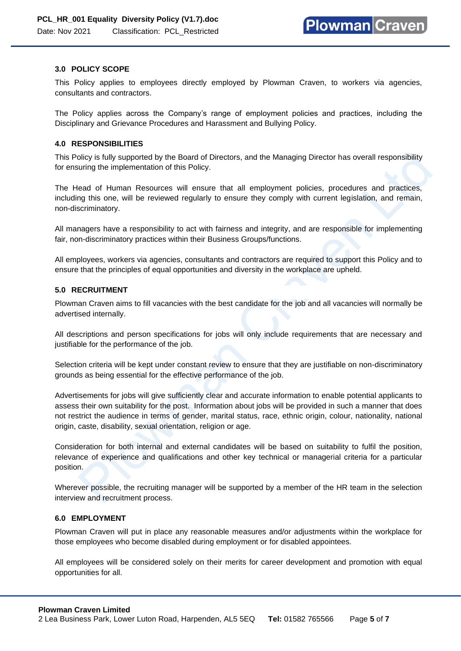#### <span id="page-4-0"></span>**3.0 POLICY SCOPE**

This Policy applies to employees directly employed by Plowman Craven, to workers via agencies, consultants and contractors.

The Policy applies across the Company's range of employment policies and practices, including the Disciplinary and Grievance Procedures and Harassment and Bullying Policy.

#### <span id="page-4-1"></span>**4.0 RESPONSIBILITIES**

This Policy is fully supported by the Board of Directors, and the Managing Director has overall responsibility for ensuring the implementation of this Policy.

The Head of Human Resources will ensure that all employment policies, procedures and practices, including this one, will be reviewed regularly to ensure they comply with current legislation, and remain, non-discriminatory.

All managers have a responsibility to act with fairness and integrity, and are responsible for implementing fair, non-discriminatory practices within their Business Groups/functions.

All employees, workers via agencies, consultants and contractors are required to support this Policy and to ensure that the principles of equal opportunities and diversity in the workplace are upheld.

#### <span id="page-4-2"></span>**5.0 RECRUITMENT**

Plowman Craven aims to fill vacancies with the best candidate for the job and all vacancies will normally be advertised internally.

All descriptions and person specifications for jobs will only include requirements that are necessary and justifiable for the performance of the job.

Selection criteria will be kept under constant review to ensure that they are justifiable on non-discriminatory grounds as being essential for the effective performance of the job.

Advertisements for jobs will give sufficiently clear and accurate information to enable potential applicants to assess their own suitability for the post. Information about jobs will be provided in such a manner that does not restrict the audience in terms of gender, marital status, race, ethnic origin, colour, nationality, national origin, caste, disability, sexual orientation, religion or age.

Consideration for both internal and external candidates will be based on suitability to fulfil the position, relevance of experience and qualifications and other key technical or managerial criteria for a particular position.

Wherever possible, the recruiting manager will be supported by a member of the HR team in the selection interview and recruitment process.

#### <span id="page-4-3"></span>**6.0 EMPLOYMENT**

Plowman Craven will put in place any reasonable measures and/or adjustments within the workplace for those employees who become disabled during employment or for disabled appointees.

All employees will be considered solely on their merits for career development and promotion with equal opportunities for all.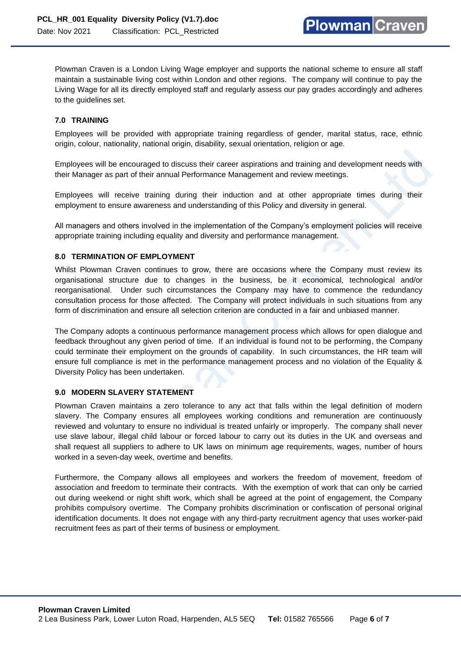Plowman Craven is a London Living Wage employer and supports the national scheme to ensure all staff maintain a sustainable living cost within London and other regions. The company will continue to pay the Living Wage for all its directly employed staff and regularly assess our pay grades accordingly and adheres to the guidelines set.

### <span id="page-5-0"></span>**7.0 TRAINING**

Employees will be provided with appropriate training regardless of gender, marital status, race, ethnic origin, colour, nationality, national origin, disability, sexual orientation, religion or age.

Employees will be encouraged to discuss their career aspirations and training and development needs with their Manager as part of their annual Performance Management and review meetings.

Employees will receive training during their induction and at other appropriate times during their employment to ensure awareness and understanding of this Policy and diversity in general.

All managers and others involved in the implementation of the Company's employment policies will receive appropriate training including equality and diversity and performance management.

### <span id="page-5-1"></span>**8.0 TERMINATION OF EMPLOYMENT**

Whilst Plowman Craven continues to grow, there are occasions where the Company must review its organisational structure due to changes in the business, be it economical, technological and/or reorganisational. Under such circumstances the Company may have to commence the redundancy consultation process for those affected. The Company will protect individuals in such situations from any form of discrimination and ensure all selection criterion are conducted in a fair and unbiased manner.

The Company adopts a continuous performance management process which allows for open dialogue and feedback throughout any given period of time. If an individual is found not to be performing, the Company could terminate their employment on the grounds of capability. In such circumstances, the HR team will ensure full compliance is met in the performance management process and no violation of the Equality & Diversity Policy has been undertaken.

#### <span id="page-5-2"></span>**9.0 MODERN SLAVERY STATEMENT**

Plowman Craven maintains a zero tolerance to any act that falls within the legal definition of modern slavery. The Company ensures all employees working conditions and remuneration are continuously reviewed and voluntary to ensure no individual is treated unfairly or improperly. The company shall never use slave labour, illegal child labour or forced labour to carry out its duties in the UK and overseas and shall request all suppliers to adhere to UK laws on minimum age requirements, wages, number of hours worked in a seven-day week, overtime and benefits.

Furthermore, the Company allows all employees and workers the freedom of movement, freedom of association and freedom to terminate their contracts. With the exemption of work that can only be carried out during weekend or night shift work, which shall be agreed at the point of engagement, the Company prohibits compulsory overtime. The Company prohibits discrimination or confiscation of personal original identification documents. It does not engage with any third-party recruitment agency that uses worker-paid recruitment fees as part of their terms of business or employment.